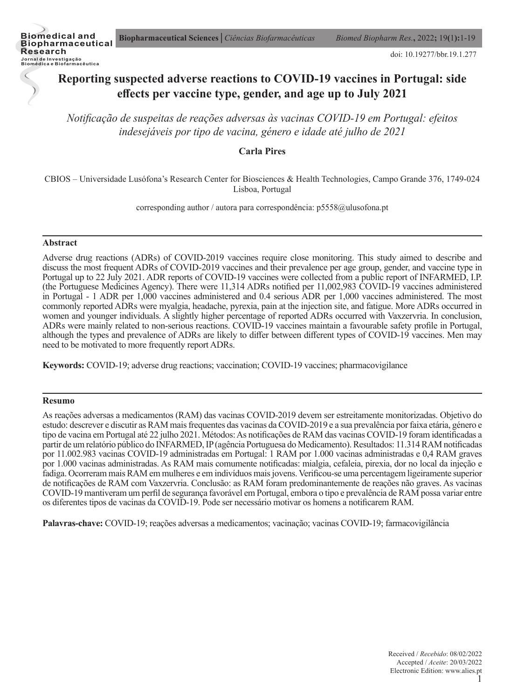doi: 10.19277/bbr.19.1.277

# **Reporting suspected adverse reactions to COVID-19 vaccines in Portugal: side effects per vaccine type, gender, and age up to July 2021**

*Notificação de suspeitas de reações adversas às vacinas COVID-19 em Portugal: efeitos indesejáveis por tipo de vacina, género e idade até julho de 2021*

## **Carla Pires**

CBIOS – Universidade Lusófona's Research Center for Biosciences & Health Technologies, Campo Grande 376, 1749-024 Lisboa, Portugal

corresponding author / autora para correspondência: p5558@ulusofona.pt

#### **Abstract**

Adverse drug reactions (ADRs) of COVID-2019 vaccines require close monitoring. This study aimed to describe and discuss the most frequent ADRs of COVID-2019 vaccines and their prevalence per age group, gender, and vaccine type in Portugal up to 22 July 2021. ADR reports of COVID-19 vaccines were collected from a public report of INFARMED, I.P. (the Portuguese Medicines Agency). There were 11,314 ADRs notified per 11,002,983 COVID-19 vaccines administered in Portugal - 1 ADR per 1,000 vaccines administered and 0.4 serious ADR per 1,000 vaccines administered. The most commonly reported ADRs were myalgia, headache, pyrexia, pain at the injection site, and fatigue. More ADRs occurred in women and younger individuals. A slightly higher percentage of reported ADRs occurred with Vaxzervria. In conclusion, ADRs were mainly related to non-serious reactions. COVID-19 vaccines maintain a favourable safety profile in Portugal, although the types and prevalence of ADRs are likely to differ between different types of COVID-19 vaccines. Men may need to be motivated to more frequently report ADRs.

**Keywords:** COVID-19; adverse drug reactions; vaccination; COVID-19 vaccines; pharmacovigilance

#### **Resumo**

As reações adversas a medicamentos (RAM) das vacinas COVID-2019 devem ser estreitamente monitorizadas. Objetivo do estudo: descrever e discutir as RAM mais frequentes das vacinas da COVID-2019 e a sua prevalência por faixa etária, género e tipo de vacina em Portugal até 22 julho 2021. Métodos: As notificações de RAM das vacinas COVID-19 foram identificadas a partir de um relatório público do INFARMED, IP (agência Portuguesa do Medicamento). Resultados: 11.314 RAM notificadas por 11.002.983 vacinas COVID-19 administradas em Portugal: 1 RAM por 1.000 vacinas administradas e 0,4 RAM graves por 1.000 vacinas administradas. As RAM mais comumente notificadas: mialgia, cefaleia, pirexia, dor no local da injeção e fadiga. Ocorreram mais RAM em mulheres e em indivíduos mais jovens. Verificou-se uma percentagem ligeiramente superior de notificações de RAM com Vaxzervria. Conclusão: as RAM foram predominantemente de reações não graves. As vacinas COVID-19 mantiveram um perfil de segurança favorável em Portugal, embora o tipo e prevalência de RAM possa variar entre os diferentes tipos de vacinas da COVID-19. Pode ser necessário motivar os homens a notificarem RAM.

**Palavras-chave:** COVID-19; reações adversas a medicamentos; vacinação; vacinas COVID-19; farmacovigilância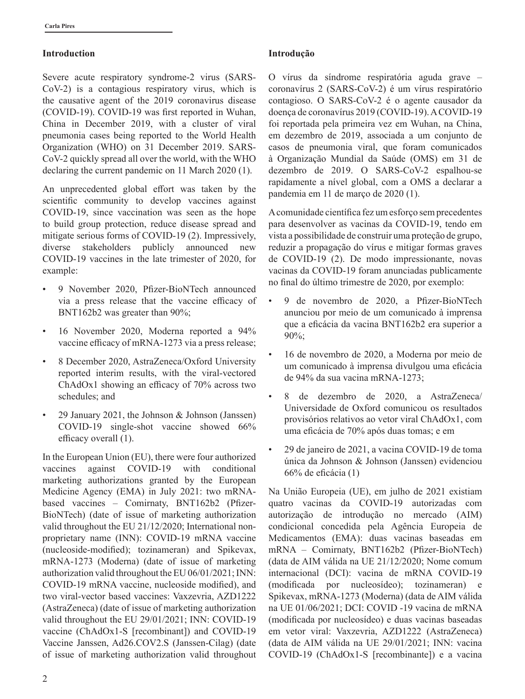## **Introduction**

Severe acute respiratory syndrome-2 virus (SARS-CoV-2) is a contagious respiratory virus, which is the causative agent of the 2019 coronavirus disease (COVID-19). COVID-19 was first reported in Wuhan, China in December 2019, with a cluster of viral pneumonia cases being reported to the World Health Organization (WHO) on 31 December 2019. SARS-CoV-2 quickly spread all over the world, with the WHO declaring the current pandemic on 11 March 2020 (1).

An unprecedented global effort was taken by the scientific community to develop vaccines against COVID-19, since vaccination was seen as the hope to build group protection, reduce disease spread and mitigate serious forms of COVID-19 (2). Impressively, diverse stakeholders publicly announced new COVID-19 vaccines in the late trimester of 2020, for example:

- 9 November 2020, Pfizer-BioNTech announced via a press release that the vaccine efficacy of BNT162b2 was greater than 90%;
- 16 November 2020, Moderna reported a 94% vaccine efficacy of mRNA-1273 via a press release;
- 8 December 2020, AstraZeneca/Oxford University reported interim results, with the viral-vectored ChAdOx1 showing an efficacy of 70% across two schedules; and
- 29 January 2021, the Johnson & Johnson (Janssen) COVID-19 single-shot vaccine showed 66% efficacy overall (1).

In the European Union (EU), there were four authorized vaccines against COVID-19 with conditional marketing authorizations granted by the European Medicine Agency (EMA) in July 2021: two mRNAbased vaccines – Comirnaty, BNT162b2 (Pfizer-BioNTech) (date of issue of marketing authorization valid throughout the EU 21/12/2020; International nonproprietary name (INN): COVID-19 mRNA vaccine (nucleoside-modified); tozinameran) and Spikevax, mRNA-1273 (Moderna) (date of issue of marketing authorization valid throughout the EU 06/01/2021; INN: COVID-19 mRNA vaccine, nucleoside modified), and two viral-vector based vaccines: Vaxzevria, AZD1222 (AstraZeneca) (date of issue of marketing authorization valid throughout the EU 29/01/2021; INN: COVID-19 vaccine (ChAdOx1-S [recombinant]) and COVID-19 Vaccine Janssen, Ad26.COV2.S (Janssen-Cilag) (date of issue of marketing authorization valid throughout

## **Introdução**

O vírus da síndrome respiratória aguda grave – coronavírus 2 (SARS-CoV-2) é um vírus respiratório contagioso. O SARS-CoV-2 é o agente causador da doença de coronavírus 2019 (COVID-19). A COVID-19 foi reportada pela primeira vez em Wuhan, na China, em dezembro de 2019, associada a um conjunto de casos de pneumonia viral, que foram comunicados à Organização Mundial da Saúde (OMS) em 31 de dezembro de 2019. O SARS-CoV-2 espalhou-se rapidamente a nível global, com a OMS a declarar a pandemia em 11 de março de 2020 (1).

A comunidade científica fez um esforço sem precedentes para desenvolver as vacinas da COVID-19, tendo em vista a possibilidade de construir uma proteção de grupo, reduzir a propagação do vírus e mitigar formas graves de COVID-19 (2). De modo impressionante, novas vacinas da COVID-19 foram anunciadas publicamente no final do último trimestre de 2020, por exemplo:

- 9 de novembro de 2020, a Pfizer-BioNTech anunciou por meio de um comunicado à imprensa que a eficácia da vacina BNT162b2 era superior a 90%;
- 16 de novembro de 2020, a Moderna por meio de um comunicado à imprensa divulgou uma eficácia de 94% da sua vacina mRNA-1273;
- 8 de dezembro de 2020, a AstraZeneca/ Universidade de Oxford comunicou os resultados provisórios relativos ao vetor viral ChAdOx1, com uma eficácia de 70% após duas tomas; e em
- 29 de janeiro de 2021, a vacina COVID-19 de toma única da Johnson & Johnson (Janssen) evidenciou 66% de eficácia (1)

Na União Europeia (UE), em julho de 2021 existiam quatro vacinas da COVID-19 autorizadas com autorização de introdução no mercado (AIM) condicional concedida pela Agência Europeia de Medicamentos (EMA): duas vacinas baseadas em mRNA – Comirnaty, BNT162b2 (Pfizer-BioNTech) (data de AIM válida na UE 21/12/2020; Nome comum internacional (DCI): vacina de mRNA COVID-19 (modificada por nucleosídeo); tozinameran) e Spikevax, mRNA-1273 (Moderna) (data de AIM válida na UE 01/06/2021; DCI: COVID -19 vacina de mRNA (modificada por nucleosídeo) e duas vacinas baseadas em vetor viral: Vaxzevria, AZD1222 (AstraZeneca) (data de AIM válida na UE 29/01/2021; INN: vacina COVID-19 (ChAdOx1-S [recombinante]) e a vacina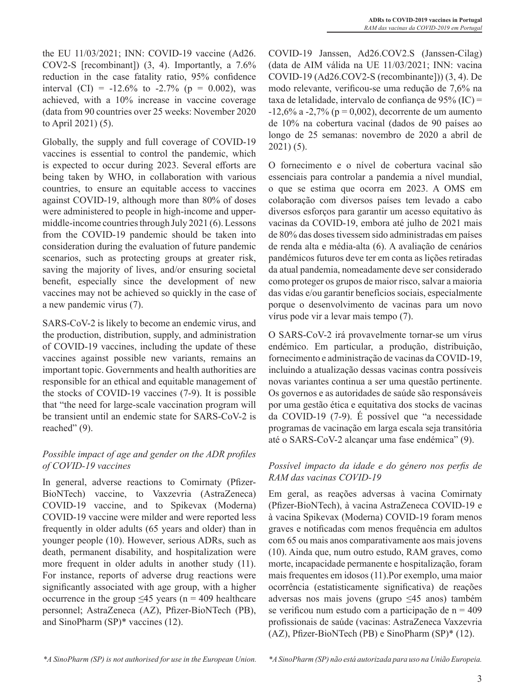the EU 11/03/2021; INN: COVID-19 vaccine (Ad26. COV2-S [recombinant]) (3, 4). Importantly, a 7.6% reduction in the case fatality ratio, 95% confidence interval (CI) =  $-12.6\%$  to  $-2.7\%$  (p = 0.002), was achieved, with a 10% increase in vaccine coverage (data from 90 countries over 25 weeks: November 2020 to April 2021) (5).

Globally, the supply and full coverage of COVID-19 vaccines is essential to control the pandemic, which is expected to occur during 2023. Several efforts are being taken by WHO, in collaboration with various countries, to ensure an equitable access to vaccines against COVID-19, although more than 80% of doses were administered to people in high-income and uppermiddle-income countries through July 2021 (6). Lessons from the COVID-19 pandemic should be taken into consideration during the evaluation of future pandemic scenarios, such as protecting groups at greater risk, saving the majority of lives, and/or ensuring societal benefit, especially since the development of new vaccines may not be achieved so quickly in the case of a new pandemic virus (7).

SARS-CoV-2 is likely to become an endemic virus, and the production, distribution, supply, and administration of COVID-19 vaccines, including the update of these vaccines against possible new variants, remains an important topic. Governments and health authorities are responsible for an ethical and equitable management of the stocks of COVID-19 vaccines (7-9). It is possible that "the need for large-scale vaccination program will be transient until an endemic state for SARS-CoV-2 is reached" (9).

# *Possible impact of age and gender on the ADR profiles of COVID-19 vaccines*

In general, adverse reactions to Comirnaty (Pfizer-BioNTech) vaccine, to Vaxzevria (AstraZeneca) COVID-19 vaccine, and to Spikevax (Moderna) COVID-19 vaccine were milder and were reported less frequently in older adults (65 years and older) than in younger people (10). However, serious ADRs, such as death, permanent disability, and hospitalization were more frequent in older adults in another study (11). For instance, reports of adverse drug reactions were significantly associated with age group, with a higher occurrence in the group  $\leq 45$  years (n = 409 healthcare personnel; AstraZeneca (AZ), Pfizer-BioNTech (PB), and SinoPharm (SP)\* vaccines (12).

COVID-19 Janssen, Ad26.COV2.S (Janssen-Cilag) (data de AIM válida na UE 11/03/2021; INN: vacina COVID-19 (Ad26.COV2-S (recombinante])) (3, 4). De modo relevante, verificou-se uma redução de 7,6% na taxa de letalidade, intervalo de confiança de 95% (IC) =  $-12,6\%$  a  $-2,7\%$  (p = 0,002), decorrente de um aumento de 10% na cobertura vacinal (dados de 90 países ao longo de 25 semanas: novembro de 2020 a abril de 2021) (5).

O fornecimento e o nível de cobertura vacinal são essenciais para controlar a pandemia a nível mundial, o que se estima que ocorra em 2023. A OMS em colaboração com diversos países tem levado a cabo diversos esforços para garantir um acesso equitativo às vacinas da COVID-19, embora até julho de 2021 mais de 80% das doses tivessem sido administradas em países de renda alta e média-alta (6). A avaliação de cenários pandémicos futuros deve ter em conta as lições retiradas da atual pandemia, nomeadamente deve ser considerado como proteger os grupos de maior risco, salvar a maioria das vidas e/ou garantir benefícios sociais, especialmente porque o desenvolvimento de vacinas para um novo vírus pode vir a levar mais tempo (7).

O SARS-CoV-2 irá provavelmente tornar-se um vírus endémico. Em particular, a produção, distribuição, fornecimento e administração de vacinas da COVID-19, incluindo a atualização dessas vacinas contra possíveis novas variantes continua a ser uma questão pertinente. Os governos e as autoridades de saúde são responsáveis por uma gestão ética e equitativa dos stocks de vacinas da COVID-19 (7-9). É possível que "a necessidade programas de vacinação em larga escala seja transitória até o SARS-CoV-2 alcançar uma fase endémica" (9).

## *Possível impacto da idade e do género nos perfis de RAM das vacinas COVID-19*

Em geral, as reações adversas à vacina Comirnaty (Pfizer-BioNTech), à vacina AstraZeneca COVID-19 e à vacina Spikevax (Moderna) COVID-19 foram menos graves e notificadas com menos frequência em adultos com 65 ou mais anos comparativamente aos mais jovens (10). Ainda que, num outro estudo, RAM graves, como morte, incapacidade permanente e hospitalização, foram mais frequentes em idosos (11).Por exemplo, uma maior ocorrência (estatisticamente significativa) de reações adversas nos mais jovens (grupo ≤45 anos) também se verificou num estudo com a participação de  $n = 409$ profissionais de saúde (vacinas: AstraZeneca Vaxzevria (AZ), Pfizer-BioNTech (PB) e SinoPharm (SP)\* (12).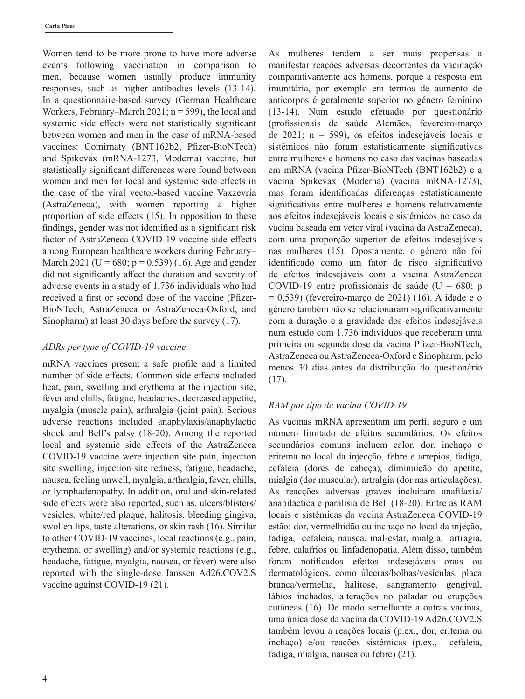Women tend to be more prone to have more adverse events following vaccination in comparison to men, because women usually produce immunity responses, such as higher antibodies levels (13-14). In a questionnaire-based survey (German Healthcare Workers, February–March  $2021$ ; n = 599), the local and systemic side effects were not statistically significant between women and men in the case of mRNA-based vaccines: Comirnaty (BNT162b2, Pfizer-BioNTech) and Spikevax (mRNA-1273, Moderna) vaccine, but statistically significant differences were found between women and men for local and systemic side effects in the case of the viral vector-based vaccine Vaxzevria (AstraZeneca), with women reporting a higher proportion of side effects (15). In opposition to these findings, gender was not identified as a significant risk factor of AstraZeneca COVID-19 vaccine side effects among European healthcare workers during February– March 2021 (U = 680; p = 0.539) (16). Age and gender did not significantly affect the duration and severity of adverse events in a study of 1,736 individuals who had received a first or second dose of the vaccine (Pfizer-BioNTech, AstraZeneca or AstraZeneca-Oxford, and Sinopharm) at least 30 days before the survey (17).

## *ADRs per type of COVID-19 vaccine*

mRNA vaccines present a safe profile and a limited number of side effects. Common side effects included heat, pain, swelling and erythema at the injection site, fever and chills, fatigue, headaches, decreased appetite, myalgia (muscle pain), arthralgia (joint pain). Serious adverse reactions included anaphylaxis/anaphylactic shock and Bell's palsy (18-20). Among the reported local and systemic side effects of the AstraZeneca COVID-19 vaccine were injection site pain, injection site swelling, injection site redness, fatigue, headache, nausea, feeling unwell, myalgia, arthralgia, fever, chills, or lymphadenopathy. In addition, oral and skin-related side effects were also reported, such as, ulcers/blisters/ vesicles, white/red plaque, halitosis, bleeding gingiva, swollen lips, taste alterations, or skin rash (16). Similar to other COVID-19 vaccines, local reactions (e.g., pain, erythema, or swelling) and/or systemic reactions (e.g., headache, fatigue, myalgia, nausea, or fever) were also reported with the single-dose Janssen Ad26.COV2.S vaccine against COVID-19 (21).

As mulheres tendem a ser mais propensas a manifestar reações adversas decorrentes da vacinação comparativamente aos homens, porque a resposta em imunitária, por exemplo em termos de aumento de anticorpos é geralmente superior no género feminino (13-14). Num estudo efetuado por questionário (profissionais de saúde Alemães, fevereiro-março de 2021; n = 599), os efeitos indesejáveis locais e sistémicos não foram estatisticamente significativas entre mulheres e homens no caso das vacinas baseadas em mRNA (vacina Pfizer-BioNTech (BNT162b2) e a vacina Spikevax (Moderna) (vacina mRNA-1273), mas foram identificadas diferenças estatisticamente significativas entre mulheres e homens relativamente aos efeitos indesejáveis locais e sistémicos no caso da vacina baseada em vetor viral (vacina da AstraZeneca), com uma proporção superior de efeitos indesejáveis nas mulheres (15). Opostamente, o género não foi identificado como um fator de risco significativo de efeitos indesejáveis com a vacina AstraZeneca COVID-19 entre profissionais de saúde ( $U = 680$ ; p  $= 0.539$ ) (fevereiro-março de 2021) (16). A idade e o género também não se relacionaram significativamente com a duração e a gravidade dos efeitos indesejáveis num estudo com 1.736 indivíduos que receberam uma primeira ou segunda dose da vacina Pfizer-BioNTech, AstraZeneca ou AstraZeneca-Oxford e Sinopharm, pelo menos 30 dias antes da distribuição do questionário (17).

# *RAM por tipo de vacina COVID-19*

As vacinas mRNA apresentam um perfil seguro e um número limitado de efeitos secundários. Os efeitos secundários comuns incluem calor, dor, inchaço e eritema no local da injecção, febre e arrepios, fadiga, cefaleia (dores de cabeça), diminuição do apetite, mialgia (dor muscular), artralgia (dor nas articulações). As reacções adversas graves incluíram anafilaxia/ anapiláctica e paralisia de Bell (18-20). Entre as RAM locais e sistémicas da vacina AstraZeneca COVID-19 estão: dor, vermelhidão ou inchaço no local da injeção, fadiga, cefaleia, náusea, mal-estar, mialgia, artragia, febre, calafrios ou linfadenopatia. Além disso, também foram notificados efeitos indesejáveis orais ou dermatológicos, como úlceras/bolhas/vesículas, placa branca/vermelha, halitose, sangramento gengival, lábios inchados, alterações no paladar ou erupções cutâneas (16). De modo semelhante a outras vacinas, uma única dose da vacina da COVID-19 Ad26.COV2.S também levou a reações locais (p.ex., dor, eritema ou inchaço) e/ou reações sistémicas (p.ex., cefaleia, fadiga, mialgia, náusea ou febre) (21).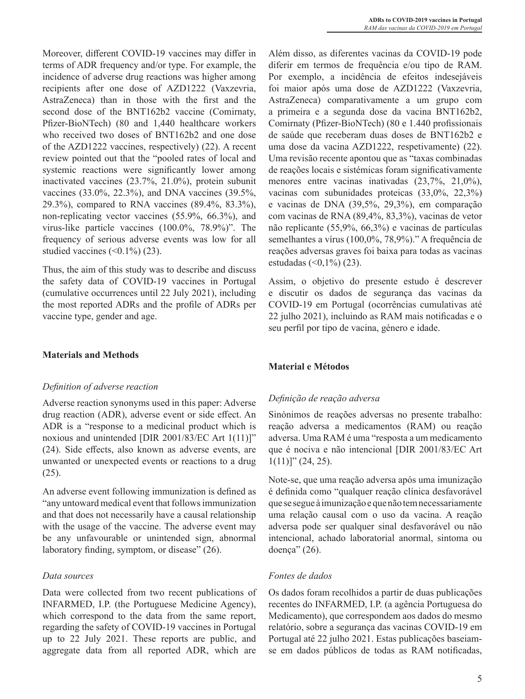Moreover, different COVID-19 vaccines may differ in terms of ADR frequency and/or type. For example, the incidence of adverse drug reactions was higher among recipients after one dose of AZD1222 (Vaxzevria, AstraZeneca) than in those with the first and the second dose of the BNT162b2 vaccine (Comirnaty, Pfizer-BioNTech) (80 and 1,440 healthcare workers who received two doses of BNT162b2 and one dose of the AZD1222 vaccines, respectively) (22). A recent review pointed out that the "pooled rates of local and systemic reactions were significantly lower among inactivated vaccines (23.7%, 21.0%), protein subunit vaccines (33.0%, 22.3%), and DNA vaccines (39.5%, 29.3%), compared to RNA vaccines (89.4%, 83.3%), non-replicating vector vaccines (55.9%, 66.3%), and virus-like particle vaccines (100.0%, 78.9%)". The frequency of serious adverse events was low for all studied vaccines  $(\leq 0.1\%)$  (23).

Thus, the aim of this study was to describe and discuss the safety data of COVID-19 vaccines in Portugal (cumulative occurrences until 22 July 2021), including the most reported ADRs and the profile of ADRs per vaccine type, gender and age.

### **Materials and Methods**

### *Definition of adverse reaction*

Adverse reaction synonyms used in this paper: Adverse drug reaction (ADR), adverse event or side effect. An ADR is a "response to a medicinal product which is noxious and unintended [DIR 2001/83/EC Art 1(11)]" (24). Side effects, also known as adverse events, are unwanted or unexpected events or reactions to a drug (25).

An adverse event following immunization is defined as "any untoward medical event that follows immunization and that does not necessarily have a causal relationship with the usage of the vaccine. The adverse event may be any unfavourable or unintended sign, abnormal laboratory finding, symptom, or disease" (26).

### *Data sources*

Data were collected from two recent publications of INFARMED, I.P. (the Portuguese Medicine Agency), which correspond to the data from the same report, regarding the safety of COVID-19 vaccines in Portugal up to 22 July 2021. These reports are public, and aggregate data from all reported ADR, which are

Além disso, as diferentes vacinas da COVID-19 pode diferir em termos de frequência e/ou tipo de RAM. Por exemplo, a incidência de efeitos indesejáveis foi maior após uma dose de AZD1222 (Vaxzevria, AstraZeneca) comparativamente a um grupo com a primeira e a segunda dose da vacina BNT162b2, Comirnaty (Pfizer-BioNTech) (80 e 1.440 profissionais de saúde que receberam duas doses de BNT162b2 e uma dose da vacina AZD1222, respetivamente) (22). Uma revisão recente apontou que as "taxas combinadas de reações locais e sistémicas foram significativamente menores entre vacinas inativadas (23,7%, 21,0%), vacinas com subunidades proteicas (33,0%, 22,3%) e vacinas de DNA (39,5%, 29,3%), em comparação com vacinas de RNA (89,4%, 83,3%), vacinas de vetor não replicante (55,9%, 66,3%) e vacinas de partículas semelhantes a vírus (100,0%, 78,9%)." A frequência de reações adversas graves foi baixa para todas as vacinas estudadas  $($  < 0, 1%)  $(23)$ .

Assim, o objetivo do presente estudo é descrever e discutir os dados de segurança das vacinas da COVID-19 em Portugal (ocorrências cumulativas até 22 julho 2021), incluindo as RAM mais notificadas e o seu perfil por tipo de vacina, género e idade.

## **Material e Métodos**

## *Definição de reação adversa*

Sinónimos de reações adversas no presente trabalho: reação adversa a medicamentos (RAM) ou reação adversa. Uma RAM é uma "resposta a um medicamento que é nociva e não intencional [DIR 2001/83/EC Art  $1(11)]$ " (24, 25).

Note-se, que uma reação adversa após uma imunização é definida como "qualquer reação clínica desfavorável que se segue à imunização e que não tem necessariamente uma relação causal com o uso da vacina. A reação adversa pode ser qualquer sinal desfavorável ou não intencional, achado laboratorial anormal, sintoma ou doença" (26).

## *Fontes de dados*

Os dados foram recolhidos a partir de duas publicações recentes do INFARMED, I.P. (a agência Portuguesa do Medicamento), que correspondem aos dados do mesmo relatório, sobre a segurança das vacinas COVID-19 em Portugal até 22 julho 2021. Estas publicações baseiamse em dados públicos de todas as RAM notificadas,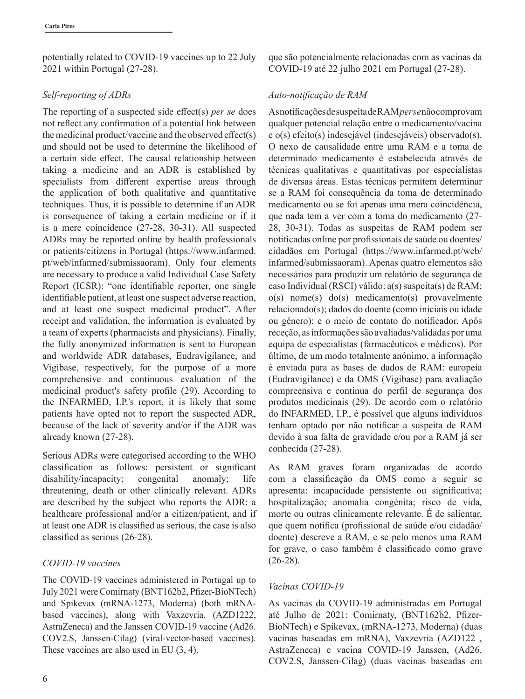potentially related to COVID-19 vaccines up to 22 July 2021 within Portugal (27-28).

## *Self-reporting of ADRs*

The reporting of a suspected side effect(s) *per se* does not reflect any confirmation of a potential link between the medicinal product/vaccine and the observed effect(s) and should not be used to determine the likelihood of a certain side effect. The causal relationship between taking a medicine and an ADR is established by specialists from different expertise areas through the application of both qualitative and quantitative techniques. Thus, it is possible to determine if an ADR is consequence of taking a certain medicine or if it is a mere coincidence (27-28, 30-31). All suspected ADRs may be reported online by health professionals or patients/citizens in Portugal (https://www.infarmed. pt/web/infarmed/submissaoram). Only four elements are necessary to produce a valid Individual Case Safety Report (ICSR): "one identifiable reporter, one single identifiable patient, at least one suspect adverse reaction, and at least one suspect medicinal product". After receipt and validation, the information is evaluated by a team of experts (pharmacists and physicians). Finally, the fully anonymized information is sent to European and worldwide ADR databases, Eudravigilance, and Vigibase, respectively, for the purpose of a more comprehensive and continuous evaluation of the medicinal product's safety profile (29). According to the INFARMED, I.P.'s report, it is likely that some patients have opted not to report the suspected ADR, because of the lack of severity and/or if the ADR was already known (27-28).

Serious ADRs were categorised according to the WHO classification as follows: persistent or significant disability/incapacity; congenital anomaly; life threatening, death or other clinically relevant. ADRs are described by the subject who reports the ADR: a healthcare professional and/or a citizen/patient, and if at least one ADR is classified as serious, the case is also classified as serious (26-28).

## *COVID-19 vaccines*

The COVID-19 vaccines administered in Portugal up to July 2021 were Comirnaty (BNT162b2, Pfizer-BioNTech) and Spikevax (mRNA-1273, Moderna) (both mRNAbased vaccines), along with Vaxzevria, (AZD1222, AstraZeneca) and the Janssen COVID-19 vaccine (Ad26. COV2.S, Janssen-Cilag) (viral-vector-based vaccines). These vaccines are also used in EU (3, 4).

que são potencialmente relacionadas com as vacinas da COVID-19 até 22 julho 2021 em Portugal (27-28).

# *Auto-notificação de RAM*

As notificações de suspeita de RAM *per se* não comprovam qualquer potencial relação entre o medicamento/vacina e o(s) efeito(s) indesejável (indesejáveis) observado(s). O nexo de causalidade entre uma RAM e a toma de determinado medicamento é estabelecida através de técnicas qualitativas e quantitativas por especialistas de diversas áreas. Estas técnicas permitem determinar se a RAM foi consequência da toma de determinado medicamento ou se foi apenas uma mera coincidência, que nada tem a ver com a toma do medicamento (27- 28, 30-31). Todas as suspeitas de RAM podem ser notificadas online por profissionais de saúde ou doentes/ cidadãos em Portugal (https://www.infarmed.pt/web/ infarmed/submissaoram). Apenas quatro elementos são necessários para produzir um relatório de segurança de caso Individual (RSCI) válido: a(s) suspeita(s) de RAM; o(s) nome(s) do(s) medicamento(s) provavelmente relacionado(s); dados do doente (como iniciais ou idade ou género); e o meio de contato do notificador. Após receção, as informações são avaliadas/validadas por uma equipa de especialistas (farmacêuticos e médicos). Por último, de um modo totalmente anónimo, a informação é enviada para as bases de dados de RAM: europeia (Eudravigilance) e da OMS (Vigibase) para avaliação compreensiva e continua do perfil de segurança dos produtos medicinais (29). De acordo com o relatório do INFARMED, I.P., é possível que alguns indivíduos tenham optado por não notificar a suspeita de RAM devido à sua falta de gravidade e/ou por a RAM já ser conhecida (27-28).

As RAM graves foram organizadas de acordo com a classificação da OMS como a seguir se apresenta: incapacidade persistente ou significativa; hospitalização; anomalia congénita; risco de vida, morte ou outras clinicamente relevante. É de salientar, que quem notifica (profissional de saúde e/ou cidadão/ doente) descreve a RAM, e se pelo menos uma RAM for grave, o caso também é classificado como grave (26-28).

# *Vacinas COVID-19*

As vacinas da COVID-19 administradas em Portugal até Julho de 2021: Comirnaty, (BNT162b2, Pfizer-BioNTech) e Spikevax, (mRNA-1273, Moderna) (duas vacinas baseadas em mRNA), Vaxzevria (AZD122 , AstraZeneca) e vacina COVID-19 Janssen, (Ad26. COV2.S, Janssen-Cilag) (duas vacinas baseadas em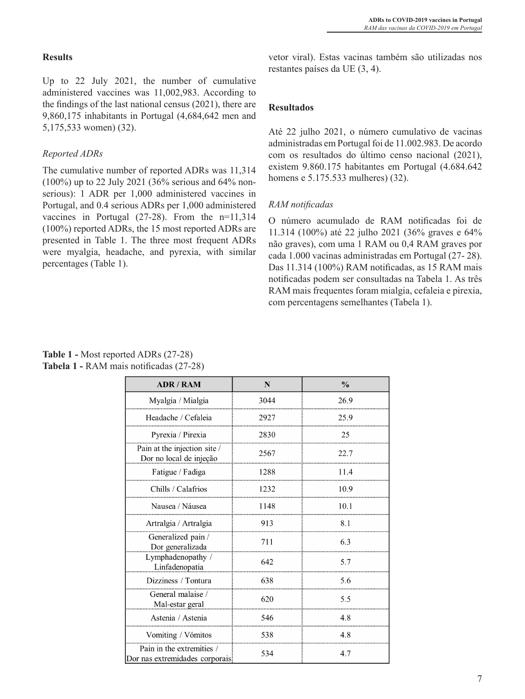## **Results**

Up to 22 July 2021, the number of cumulative administered vaccines was 11,002,983. According to the findings of the last national census (2021), there are 9,860,175 inhabitants in Portugal (4,684,642 men and 5,175,533 women) (32).

# *Reported ADRs*

The cumulative number of reported ADRs was 11,314 (100%) up to 22 July 2021 (36% serious and 64% nonserious): 1 ADR per 1,000 administered vaccines in Portugal, and 0.4 serious ADRs per 1,000 administered vaccines in Portugal (27-28). From the n=11,314 (100%) reported ADRs, the 15 most reported ADRs are presented in Table 1. The three most frequent ADRs were myalgia, headache, and pyrexia, with similar percentages (Table 1).

vetor viral). Estas vacinas também são utilizadas nos restantes países da UE (3, 4).

## **Resultados**

Até 22 julho 2021, o número cumulativo de vacinas administradas em Portugal foi de 11.002.983. De acordo com os resultados do último censo nacional (2021), existem 9.860.175 habitantes em Portugal (4.684.642 homens e 5.175.533 mulheres) (32).

## *RAM notificadas*

O número acumulado de RAM notificadas foi de 11.314 (100%) até 22 julho 2021 (36% graves e 64% não graves), com uma 1 RAM ou 0,4 RAM graves por cada 1.000 vacinas administradas em Portugal (27- 28). Das 11.314 (100%) RAM notificadas, as 15 RAM mais notificadas podem ser consultadas na Tabela 1. As três RAM mais frequentes foram mialgia, cefaleia e pirexia, com percentagens semelhantes (Tabela 1).

# **Table 1 -** Most reported ADRs (27-28) **Tabela 1 -** RAM mais notificadas (27-28)

| <b>ADR / RAM</b>                                             | N    | $\frac{0}{0}$ |  |  |
|--------------------------------------------------------------|------|---------------|--|--|
| Myalgia / Mialgia                                            | 3044 | 26.9          |  |  |
| Headache / Cefaleia                                          | 2927 | 25.9          |  |  |
| Pyrexia / Pirexia                                            | 2830 | 25            |  |  |
| Pain at the injection site /<br>Dor no local de injeção      | 2567 | 22.7          |  |  |
| Fatigue / Fadiga                                             | 1288 | 11.4          |  |  |
| Chills / Calafrios                                           | 1232 | 10.9          |  |  |
| Nausea / Náusea                                              | 1148 | 10.1          |  |  |
| Artralgia / Artralgia                                        | 913  | 8.1           |  |  |
| Generalized pain /<br>Dor generalizada                       | 711  | 6.3           |  |  |
| Lymphadenopathy /<br>Linfadenopatia                          | 642  | 5.7           |  |  |
| Dizziness / Tontura                                          | 638  | 5.6           |  |  |
| General malaise /<br>Mal-estar geral                         | 620  | 5.5           |  |  |
| Astenia / Astenia                                            | 546  | 4.8           |  |  |
| Vomiting / Vómitos                                           | 538  | 4.8           |  |  |
| Pain in the extremities /<br>Dor nas extremidades corporais: | 534  | 4.7           |  |  |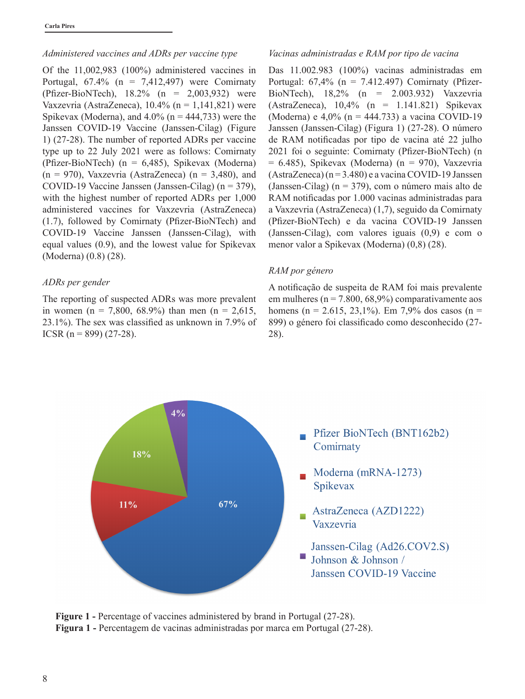### *Administered vaccines and ADRs per vaccine type*

Of the 11,002,983 (100%) administered vaccines in Portugal,  $67.4\%$  (n = 7,412,497) were Comirnaty (Pfizer-BioNTech), 18.2% (n = 2,003,932) were Vaxzevria (AstraZeneca),  $10.4\%$  (n = 1,141,821) were Spikevax (Moderna), and  $4.0\%$  (n = 444,733) were the Janssen COVID-19 Vaccine (Janssen-Cilag) (Figure 1) (27-28). The number of reported ADRs per vaccine type up to 22 July 2021 were as follows: Comirnaty (Pfizer-BioNTech) (n = 6,485), Spikevax (Moderna)  $(n = 970)$ , Vaxzevria (AstraZeneca)  $(n = 3,480)$ , and COVID-19 Vaccine Janssen (Janssen-Cilag) (n = 379), with the highest number of reported ADRs per 1,000 administered vaccines for Vaxzevria (AstraZeneca) (1.7), followed by Comirnaty (Pfizer-BioNTech) and COVID-19 Vaccine Janssen (Janssen-Cilag), with equal values (0.9), and the lowest value for Spikevax (Moderna) (0.8) (28).

#### *ADRs per gender*

The reporting of suspected ADRs was more prevalent in women (n = 7,800, 68.9%) than men (n = 2,615, 23.1%). The sex was classified as unknown in 7.9% of ICSR (n = 899) (27-28).

#### *Vacinas administradas e RAM por tipo de vacina*

Das 11.002.983 (100%) vacinas administradas em Portugal:  $67,4\%$  (n = 7.412.497) Comirnaty (Pfizer-BioNTech), 18,2% (n = 2.003.932) Vaxzevria (AstraZeneca), 10,4% (n = 1.141.821) Spikevax (Moderna) e 4,0% (n = 444.733) a vacina COVID-19 Janssen (Janssen-Cilag) (Figura 1) (27-28). O número de RAM notificadas por tipo de vacina até 22 julho 2021 foi o seguinte: Comirnaty (Pfizer-BioNTech) (n  $= 6.485$ ), Spikevax (Moderna) (n  $= 970$ ), Vaxzevria  $(AstraZeneca)$  (n = 3.480) e a vacina COVID-19 Janssen (Janssen-Cilag) (n = 379), com o número mais alto de RAM notificadas por 1.000 vacinas administradas para a Vaxzevria (AstraZeneca) (1,7), seguido da Comirnaty (Pfizer-BioNTech) e da vacina COVID-19 Janssen (Janssen-Cilag), com valores iguais (0,9) e com o menor valor a Spikevax (Moderna) (0,8) (28).

### *RAM por género*

A notificação de suspeita de RAM foi mais prevalente em mulheres ( $n = 7.800, 68.9\%$ ) comparativamente aos homens (n = 2.615, 23,1%). Em 7,9% dos casos (n = 899) o género foi classificado como desconhecido (27- 28).



**Figure 1 -** Percentage of vaccines administered by brand in Portugal (27-28). **Figura 1 -** Percentagem de vacinas administradas por marca em Portugal (27-28).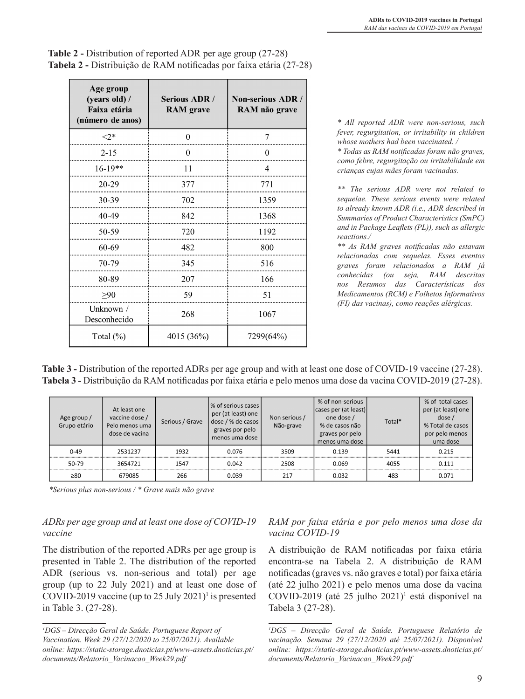| Age group<br>(years old) /<br>Faixa etária<br>(número de anos) | <b>Serious ADR /</b><br><b>RAM</b> grave | Non-serious ADR /<br>RAM não grave |  |  |
|----------------------------------------------------------------|------------------------------------------|------------------------------------|--|--|
| ${<}2*$                                                        | $\theta$                                 | 7                                  |  |  |
| $2 - 15$                                                       | $\theta$                                 | $\theta$                           |  |  |
| $16-19**$                                                      | 11                                       | $\overline{4}$                     |  |  |
| $20 - 29$                                                      | 377                                      | 771                                |  |  |
| 30-39                                                          | 702                                      | 1359                               |  |  |
| 40-49                                                          | 842                                      | 1368                               |  |  |
| 50-59                                                          | 720                                      | 1192                               |  |  |
| 60-69                                                          | 482                                      | 800                                |  |  |
| 70-79                                                          | 345                                      | 516                                |  |  |
| 80-89                                                          | 207                                      | 166                                |  |  |
| $\geq 90$                                                      | 59                                       | 51                                 |  |  |
| Unknown /<br>Desconhecido                                      | 268                                      | 1067                               |  |  |
| Total (%)                                                      | 4015 (36%)                               | 7299(64%)                          |  |  |

| <b>Table 2 - Distribution of reported ADR per age group (27-28)</b> |
|---------------------------------------------------------------------|
| Tabela 2 - Distribuição de RAM notificadas por faixa etária (27-28) |

*\* All reported ADR were non-serious, such fever, regurgitation, or irritability in children whose mothers had been vaccinated. /* 

*\* Todas as RAM notificadas foram não graves, como febre, regurgitação ou irritabilidade em crianças cujas mães foram vacinadas.*

*\*\* The serious ADR were not related to sequelae. These serious events were related to already known ADR (i.e., ADR described in Summaries of Product Characteristics (SmPC) and in Package Leaflets (PL)), such as allergic reactions./* 

*\*\* As RAM graves notificadas não estavam relacionadas com sequelas. Esses eventos graves foram relacionados a RAM já conhecidas (ou seja, RAM descritas nos Resumos das Características dos Medicamentos (RCM) e Folhetos Informativos (FI) das vacinas), como reações alérgicas.* 

| Table 3 - Distribution of the reported ADRs per age group and with at least one dose of COVID-19 vaccine (27-28).      |
|------------------------------------------------------------------------------------------------------------------------|
| <b>Tabela 3 -</b> Distribuição da RAM notificadas por faixa etária e pelo menos uma dose da vacina COVID-2019 (27-28). |

| Age group /<br>Grupo etário | At least one<br>vaccine dose /<br>Pelo menos uma<br>dose de vacina | Serious / Grave | % of serious cases  <br>per (at least) one<br>dose / % de casos<br>graves por pelo<br>menos uma dose | Non serious /<br>Não-grave | % of non-serious<br>cases per (at least)<br>one dose /<br>% de casos não<br>graves por pelo<br>menos uma dose | Total* | % of total cases<br>per (at least) one<br>dose/<br>% Total de casos<br>por pelo menos<br>uma dose |
|-----------------------------|--------------------------------------------------------------------|-----------------|------------------------------------------------------------------------------------------------------|----------------------------|---------------------------------------------------------------------------------------------------------------|--------|---------------------------------------------------------------------------------------------------|
| $0 - 49$                    | 2531237                                                            | 1932            | 0.076                                                                                                | 3509                       | 0.139                                                                                                         | 5441   | 0.215                                                                                             |
| 50-79                       | 3654721                                                            | 1547            | 0.042                                                                                                | 2508                       | 0.069                                                                                                         | 4055   | 0.111                                                                                             |
| $\geq 80$                   | 679085                                                             | 266             | 0.039                                                                                                | 217                        | 0.032                                                                                                         | 483    | 0.071                                                                                             |

*\*Serious plus non-serious / \* Grave mais não grave*

# *ADRs per age group and at least one dose of COVID-19 vaccine*

The distribution of the reported ADRs per age group is presented in Table 2. The distribution of the reported ADR (serious vs. non-serious and total) per age group (up to 22 July 2021) and at least one dose of COVID-2019 vaccine (up to 25 July 2021)<sup>1</sup> is presented in Table 3. (27-28).

# *RAM por faixa etária e por pelo menos uma dose da vacina COVID-19*

A distribuição de RAM notificadas por faixa etária encontra-se na Tabela 2. A distribuição de RAM notificadas (graves vs. não graves e total) por faixa etária (até 22 julho 2021) e pelo menos uma dose da vacina COVID-2019 (até 25 julho 2021)<sup>1</sup> está disponível na Tabela 3 (27-28).

*<sup>1</sup> DGS – Direcção Geral de Saúde. Portuguese Report of Vaccination. Week 29 (27/12/2020 to 25/07/2021). Available online: https://static-storage.dnoticias.pt/www-assets.dnoticias.pt/ documents/Relatorio\_Vacinacao\_Week29.pdf*

*<sup>1</sup> DGS – Direcção Geral de Saúde. Portuguese Relatório de vacinação. Semana 29 (27/12/2020 até 25/07/2021). Disponível online: https://static-storage.dnoticias.pt/www-assets.dnoticias.pt/ documents/Relatorio\_Vacinacao\_Week29.pdf*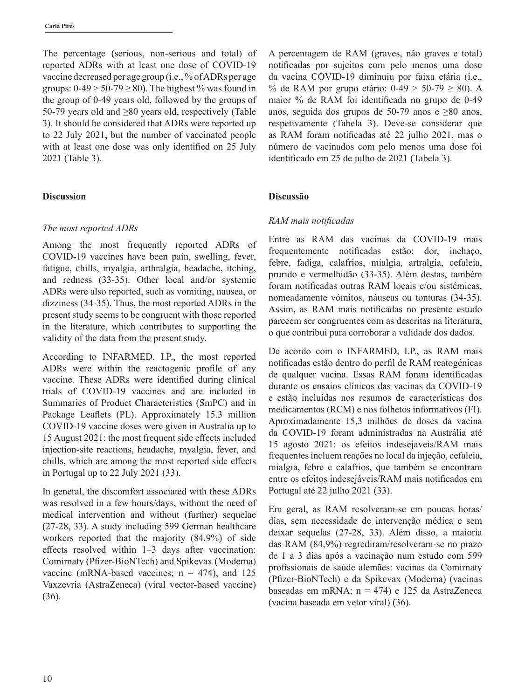The percentage (serious, non-serious and total) of reported ADRs with at least one dose of COVID-19 vaccine decreased per age group (i.e., % of ADRs per age groups:  $0-49 > 50-79 \ge 80$ . The highest % was found in the group of 0-49 years old, followed by the groups of 50-79 years old and ≥80 years old, respectively (Table 3). It should be considered that ADRs were reported up to 22 July 2021, but the number of vaccinated people with at least one dose was only identified on 25 July 2021 (Table 3).

### **Discussion**

### *The most reported ADRs*

Among the most frequently reported ADRs of COVID-19 vaccines have been pain, swelling, fever, fatigue, chills, myalgia, arthralgia, headache, itching, and redness (33-35). Other local and/or systemic ADRs were also reported, such as vomiting, nausea, or dizziness (34-35). Thus, the most reported ADRs in the present study seems to be congruent with those reported in the literature, which contributes to supporting the validity of the data from the present study.

According to INFARMED, I.P., the most reported ADRs were within the reactogenic profile of any vaccine. These ADRs were identified during clinical trials of COVID-19 vaccines and are included in Summaries of Product Characteristics (SmPC) and in Package Leaflets (PL). Approximately 15.3 million COVID-19 vaccine doses were given in Australia up to 15 August 2021: the most frequent side effects included injection-site reactions, headache, myalgia, fever, and chills, which are among the most reported side effects in Portugal up to 22 July 2021 (33).

In general, the discomfort associated with these ADRs was resolved in a few hours/days, without the need of medical intervention and without (further) sequelae (27-28, 33). A study including 599 German healthcare workers reported that the majority (84.9%) of side effects resolved within 1–3 days after vaccination: Comirnaty (Pfizer-BioNTech) and Spikevax (Moderna) vaccine (mRNA-based vaccines;  $n = 474$ ), and 125 Vaxzevria (AstraZeneca) (viral vector-based vaccine) (36).

A percentagem de RAM (graves, não graves e total) notificadas por sujeitos com pelo menos uma dose da vacina COVID-19 diminuiu por faixa etária (i.e., % de RAM por grupo etário:  $0-49 > 50-79 \ge 80$ ). A maior % de RAM foi identificada no grupo de 0-49 anos, seguida dos grupos de 50-79 anos e ≥80 anos, respetivamente (Tabela 3). Deve-se considerar que as RAM foram notificadas até 22 julho 2021, mas o número de vacinados com pelo menos uma dose foi identificado em 25 de julho de 2021 (Tabela 3).

### **Discussão**

### *RAM mais notificadas*

Entre as RAM das vacinas da COVID-19 mais frequentemente notificadas estão: dor, inchaço, febre, fadiga, calafrios, mialgia, artralgia, cefaleia, prurido e vermelhidão (33-35). Além destas, também foram notificadas outras RAM locais e/ou sistémicas, nomeadamente vómitos, náuseas ou tonturas (34-35). Assim, as RAM mais notificadas no presente estudo parecem ser congruentes com as descritas na literatura, o que contribui para corroborar a validade dos dados.

De acordo com o INFARMED, I.P., as RAM mais notificadas estão dentro do perfil de RAM reatogénicas de qualquer vacina. Essas RAM foram identificadas durante os ensaios clínicos das vacinas da COVID-19 e estão incluídas nos resumos de características dos medicamentos (RCM) e nos folhetos informativos (FI). Aproximadamente 15,3 milhões de doses da vacina da COVID-19 foram administradas na Austrália até 15 agosto 2021: os efeitos indesejáveis/RAM mais frequentes incluem reações no local da injeção, cefaleia, mialgia, febre e calafrios, que também se encontram entre os efeitos indesejáveis/RAM mais notificados em Portugal até 22 julho 2021 (33).

Em geral, as RAM resolveram-se em poucas horas/ dias, sem necessidade de intervenção médica e sem deixar sequelas (27-28, 33). Além disso, a maioria das RAM (84,9%) regrediram/resolveram-se no prazo de 1 a 3 dias após a vacinação num estudo com 599 profissionais de saúde alemães: vacinas da Comirnaty (Pfizer-BioNTech) e da Spikevax (Moderna) (vacinas baseadas em mRNA; n = 474) e 125 da AstraZeneca (vacina baseada em vetor viral) (36).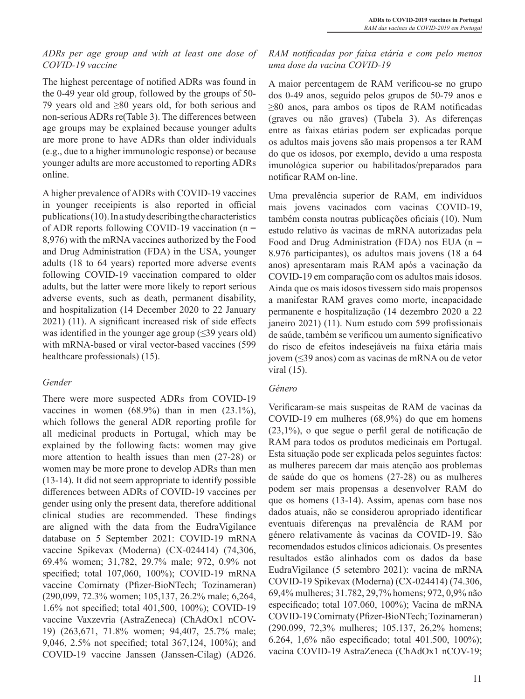## *ADRs per age group and with at least one dose of COVID-19 vaccine*

The highest percentage of notified ADRs was found in the 0-49 year old group, followed by the groups of 50- 79 years old and ≥80 years old, for both serious and non-serious ADRs re(Table 3). The differences between age groups may be explained because younger adults are more prone to have ADRs than older individuals (e.g., due to a higher immunologic response) or because younger adults are more accustomed to reporting ADRs online.

A higher prevalence of ADRs with COVID-19 vaccines in younger receipients is also reported in official publications (10). In a study describing the characteristics of ADR reports following COVID-19 vaccination (n = 8,976) with the mRNA vaccines authorized by the Food and Drug Administration (FDA) in the USA, younger adults (18 to 64 years) reported more adverse events following COVID-19 vaccination compared to older adults, but the latter were more likely to report serious adverse events, such as death, permanent disability, and hospitalization (14 December 2020 to 22 January 2021) (11). A significant increased risk of side effects was identified in the younger age group  $(\leq 39)$  years old) with mRNA-based or viral vector-based vaccines (599 healthcare professionals) (15).

# *Gender*

There were more suspected ADRs from COVID-19 vaccines in women (68.9%) than in men (23.1%), which follows the general ADR reporting profile for all medicinal products in Portugal, which may be explained by the following facts: women may give more attention to health issues than men (27-28) or women may be more prone to develop ADRs than men (13-14). It did not seem appropriate to identify possible differences between ADRs of COVID-19 vaccines per gender using only the present data, therefore additional clinical studies are recommended. These findings are aligned with the data from the EudraVigilance database on 5 September 2021: COVID-19 mRNA vaccine Spikevax (Moderna) (CX-024414) (74,306, 69.4% women; 31,782, 29.7% male; 972, 0.9% not specified; total 107,060, 100%); COVID-19 mRNA vaccine Comirnaty (Pfizer-BioNTech; Tozinameran) (290,099, 72.3% women; 105,137, 26.2% male; 6,264, 1.6% not specified; total 401,500, 100%); COVID-19 vaccine Vaxzevria (AstraZeneca) (ChAdOx1 nCOV-19) (263,671, 71.8% women; 94,407, 25.7% male; 9,046, 2.5% not specified; total 367,124, 100%); and COVID-19 vaccine Janssen (Janssen-Cilag) (AD26.

# *RAM notificadas por faixa etária e com pelo menos uma dose da vacina COVID-19*

A maior percentagem de RAM verificou-se no grupo dos 0-49 anos, seguido pelos grupos de 50-79 anos e ≥80 anos, para ambos os tipos de RAM notificadas (graves ou não graves) (Tabela 3). As diferenças entre as faixas etárias podem ser explicadas porque os adultos mais jovens são mais propensos a ter RAM do que os idosos, por exemplo, devido a uma resposta imunológica superior ou habilitados/preparados para notificar RAM on-line.

Uma prevalência superior de RAM, em indivíduos mais jovens vacinados com vacinas COVID-19, também consta noutras publicações oficiais (10). Num estudo relativo às vacinas de mRNA autorizadas pela Food and Drug Administration (FDA) nos EUA ( $n =$ 8.976 participantes), os adultos mais jovens (18 a 64 anos) apresentaram mais RAM após a vacinação da COVID-19 em comparação com os adultos mais idosos. Ainda que os mais idosos tivessem sido mais propensos a manifestar RAM graves como morte, incapacidade permanente e hospitalização (14 dezembro 2020 a 22 janeiro 2021) (11). Num estudo com 599 profissionais de saúde, também se verificou um aumento significativo do risco de efeitos indesejáveis na faixa etária mais jovem (≤39 anos) com as vacinas de mRNA ou de vetor viral (15).

# *Género*

Verificaram-se mais suspeitas de RAM de vacinas da COVID-19 em mulheres (68,9%) do que em homens (23,1%), o que segue o perfil geral de notificação de RAM para todos os produtos medicinais em Portugal. Esta situação pode ser explicada pelos seguintes factos: as mulheres parecem dar mais atenção aos problemas de saúde do que os homens (27-28) ou as mulheres podem ser mais propensas a desenvolver RAM do que os homens (13-14). Assim, apenas com base nos dados atuais, não se considerou apropriado identificar eventuais diferenças na prevalência de RAM por género relativamente às vacinas da COVID-19. São recomendados estudos clínicos adicionais. Os presentes resultados estão alinhados com os dados da base EudraVigilance (5 setembro 2021): vacina de mRNA COVID-19 Spikevax (Moderna) (CX-024414) (74.306, 69,4% mulheres; 31.782, 29,7% homens; 972, 0,9% não especificado; total 107.060, 100%); Vacina de mRNA COVID-19 Comirnaty (Pfizer-BioNTech; Tozinameran) (290.099, 72,3% mulheres; 105.137, 26,2% homens; 6.264, 1,6% não especificado; total 401.500, 100%); vacina COVID-19 AstraZeneca (ChAdOx1 nCOV-19;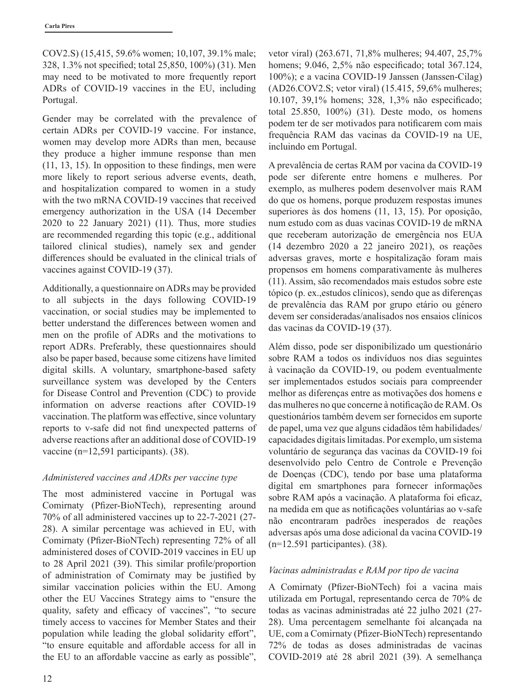COV2.S) (15,415, 59.6% women; 10,107, 39.1% male; 328, 1.3% not specified; total 25,850, 100%) (31). Men may need to be motivated to more frequently report ADRs of COVID-19 vaccines in the EU, including Portugal.

Gender may be correlated with the prevalence of certain ADRs per COVID-19 vaccine. For instance, women may develop more ADRs than men, because they produce a higher immune response than men (11, 13, 15). In opposition to these findings, men were more likely to report serious adverse events, death, and hospitalization compared to women in a study with the two mRNA COVID-19 vaccines that received emergency authorization in the USA (14 December 2020 to 22 January 2021) (11). Thus, more studies are recommended regarding this topic (e.g., additional tailored clinical studies), namely sex and gender differences should be evaluated in the clinical trials of vaccines against COVID-19 (37).

Additionally, a questionnaire on ADRs may be provided to all subjects in the days following COVID-19 vaccination, or social studies may be implemented to better understand the differences between women and men on the profile of ADRs and the motivations to report ADRs. Preferably, these questionnaires should also be paper based, because some citizens have limited digital skills. A voluntary, smartphone-based safety surveillance system was developed by the Centers for Disease Control and Prevention (CDC) to provide information on adverse reactions after COVID-19 vaccination. The platform was effective, since voluntary reports to v-safe did not find unexpected patterns of adverse reactions after an additional dose of COVID-19 vaccine (n=12,591 participants). (38).

# *Administered vaccines and ADRs per vaccine type*

The most administered vaccine in Portugal was Comirnaty (Pfizer-BioNTech), representing around 70% of all administered vaccines up to 22-7-2021 (27- 28). A similar percentage was achieved in EU, with Comirnaty (Pfizer-BioNTech) representing 72% of all administered doses of COVID-2019 vaccines in EU up to 28 April 2021 (39). This similar profile/proportion of administration of Comirnaty may be justified by similar vaccination policies within the EU. Among other the EU Vaccines Strategy aims to "ensure the quality, safety and efficacy of vaccines", "to secure timely access to vaccines for Member States and their population while leading the global solidarity effort", "to ensure equitable and affordable access for all in the EU to an affordable vaccine as early as possible",

vetor viral) (263.671, 71,8% mulheres; 94.407, 25,7% homens; 9.046, 2,5% não especificado; total 367.124, 100%); e a vacina COVID-19 Janssen (Janssen-Cilag) (AD26.COV2.S; vetor viral) (15.415, 59,6% mulheres; 10.107, 39,1% homens; 328, 1,3% não especificado; total 25.850, 100%) (31). Deste modo, os homens podem ter de ser motivados para notificarem com mais frequência RAM das vacinas da COVID-19 na UE, incluindo em Portugal.

A prevalência de certas RAM por vacina da COVID-19 pode ser diferente entre homens e mulheres. Por exemplo, as mulheres podem desenvolver mais RAM do que os homens, porque produzem respostas imunes superiores às dos homens (11, 13, 15). Por oposição, num estudo com as duas vacinas COVID-19 de mRNA que receberam autorização de emergência nos EUA (14 dezembro 2020 a 22 janeiro 2021), os reações adversas graves, morte e hospitalização foram mais propensos em homens comparativamente às mulheres (11). Assim, são recomendados mais estudos sobre este tópico (p. ex.,estudos clínicos), sendo que as diferenças de prevalência das RAM por grupo etário ou género devem ser consideradas/analisados nos ensaios clínicos das vacinas da COVID-19 (37).

Além disso, pode ser disponibilizado um questionário sobre RAM a todos os indivíduos nos dias seguintes à vacinação da COVID-19, ou podem eventualmente ser implementados estudos sociais para compreender melhor as diferenças entre as motivações dos homens e das mulheres no que concerne à notificação de RAM. Os questionários também devem ser fornecidos em suporte de papel, uma vez que alguns cidadãos têm habilidades/ capacidades digitais limitadas. Por exemplo, um sistema voluntário de segurança das vacinas da COVID-19 foi desenvolvido pelo Centro de Controle e Prevenção de Doenças (CDC), tendo por base uma plataforma digital em smartphones para fornecer informações sobre RAM após a vacinação. A plataforma foi eficaz, na medida em que as notificações voluntárias ao v-safe não encontraram padrões inesperados de reações adversas após uma dose adicional da vacina COVID-19 (n=12.591 participantes). (38).

# *Vacinas administradas e RAM por tipo de vacina*

A Comirnaty (Pfizer-BioNTech) foi a vacina mais utilizada em Portugal, representando cerca de 70% de todas as vacinas administradas até 22 julho 2021 (27- 28). Uma percentagem semelhante foi alcançada na UE, com a Comirnaty (Pfizer-BioNTech) representando 72% de todas as doses administradas de vacinas COVID-2019 até 28 abril 2021 (39). A semelhança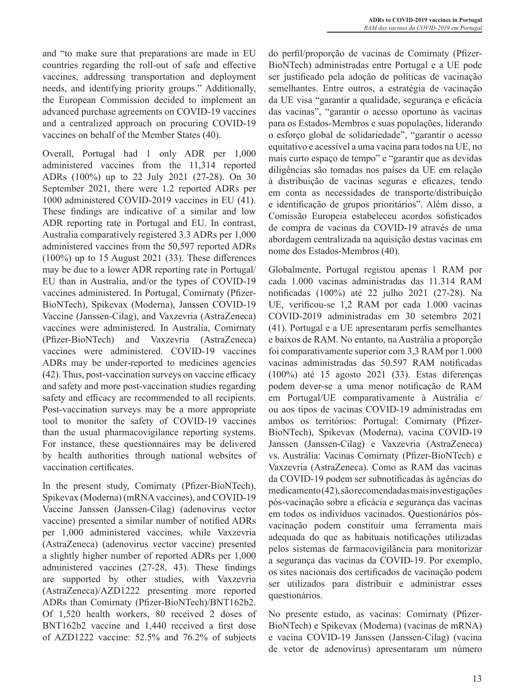and "to make sure that preparations are made in EU countries regarding the roll-out of safe and effective vaccines, addressing transportation and deployment needs, and identifying priority groups." Additionally, the European Commission decided to implement an advanced purchase agreements on COVID-19 vaccines and a centralized approach on procuring COVID-19 vaccines on behalf of the Member States (40).

Overall, Portugal had 1 only ADR per 1,000 administered vaccines from the 11,314 reported ADRs (100%) up to 22 July 2021 (27-28). On 30 September 2021, there were 1.2 reported ADRs per 1000 administered COVID-2019 vaccines in EU (41). These findings are indicative of a similar and low ADR reporting rate in Portugal and EU. In contrast, Australia comparatively registered 3.3 ADRs per 1,000 administered vaccines from the 50,597 reported ADRs (100%) up to 15 August 2021 (33). These differences may be due to a lower ADR reporting rate in Portugal/ EU than in Australia, and/or the types of COVID-19 vaccines administered. In Portugal, Comirnaty (Pfizer-BioNTech), Spikevax (Moderna), Janssen COVID-19 Vaccine (Janssen-Cilag), and Vaxzevria (AstraZeneca) vaccines were administered. In Australia, Comirnaty (Pfizer-BioNTech) and Vaxzevria (AstraZeneca) vaccines were administered. COVID-19 vaccines ADRs may be under-reported to medicines agencies (42). Thus, post-vaccination surveys on vaccine efficacy and safety and more post-vaccination studies regarding safety and efficacy are recommended to all recipients. Post-vaccination surveys may be a more appropriate tool to monitor the safety of COVID-19 vaccines than the usual pharmacovigilance reporting systems. For instance, these questionnaires may be delivered by health authorities through national websites of vaccination certificates.

In the present study, Comirnaty (Pfizer-BioNTech), Spikevax (Moderna) (mRNA vaccines), and COVID-19 Vaccine Janssen (Janssen-Cilag) (adenovirus vector vaccine) presented a similar number of notified ADRs per 1,000 administered vaccines, while Vaxzevria (AstraZeneca) (adenovirus vector vaccine) presented a slightly higher number of reported ADRs per 1,000 administered vaccines (27-28, 43). These findings are supported by other studies, with Vaxzevria (AstraZeneca)/AZD1222 presenting more reported ADRs than Comirnaty (Pfizer-BioNTech)/BNT162b2. Of 1,520 health workers, 80 received 2 doses of BNT162b2 vaccine and 1,440 received a first dose of AZD1222 vaccine: 52.5% and 76.2% of subjects do perfil/proporção de vacinas de Comirnaty (Pfizer-BioNTech) administradas entre Portugal e a UE pode ser justificado pela adoção de políticas de vacinação semelhantes. Entre outros, a estratégia de vacinação da UE visa "garantir a qualidade, segurança e eficácia das vacinas", "garantir o acesso oportuno às vacinas para os Estados-Membros e suas populações, liderando o esforço global de solidariedade", "garantir o acesso equitativo e acessível a uma vacina para todos na UE, no mais curto espaço de tempo" e "garantir que as devidas diligências são tomadas nos países da UE em relação à distribuição de vacinas seguras e eficazes, tendo em conta as necessidades de transporte/distribuição e identificação de grupos prioritários". Além disso, a Comissão Europeia estabeleceu acordos sofisticados de compra de vacinas da COVID-19 através de uma abordagem centralizada na aquisição destas vacinas em nome dos Estados-Membros (40).

Globalmente, Portugal registou apenas 1 RAM por cada 1.000 vacinas administradas das 11.314 RAM notificadas (100%) até 22 julho 2021 (27-28). Na UE, verificou-se 1,2 RAM por cada 1.000 vacinas COVID-2019 administradas em 30 setembro 2021 (41). Portugal e a UE apresentaram perfis semelhantes e baixos de RAM. No entanto, na Austrália a proporção foi comparativamente superior com 3,3 RAM por 1.000 vacinas administradas das 50.597 RAM notificadas (100%) até 15 agosto 2021 (33). Estas diferenças podem dever-se a uma menor notificação de RAM em Portugal/UE comparativamente à Austrália e/ ou aos tipos de vacinas COVID-19 administradas em ambos os territórios: Portugal: Comirnaty (Pfizer-BioNTech), Spikevax (Moderna), vacina COVID-19 Janssen (Janssen-Cilag) e Vaxzevria (AstraZeneca) vs. Austrália: Vacinas Comirnaty (Pfizer-BioNTech) e Vaxzevria (AstraZeneca). Como as RAM das vacinas da COVID-19 podem ser subnotificadas às agências do medicamento (42), são recomendadas mais investigações pós-vacinação sobre a eficácia e segurança das vacinas em todos os indivíduos vacinados. Questionários pósvacinação podem constituir uma ferramenta mais adequada do que as habituais notificações utilizadas pelos sistemas de farmacovigilância para monitorizar a segurança das vacinas da COVID-19. Por exemplo, os sites nacionais dos certificados de vacinação podem ser utilizados para distribuir e administrar esses questionários.

No presente estudo, as vacinas: Comirnaty (Pfizer-BioNTech) e Spikevax (Moderna) (vacinas de mRNA) e vacina COVID-19 Janssen (Janssen-Cilag) (vacina de vetor de adenovírus) apresentaram um número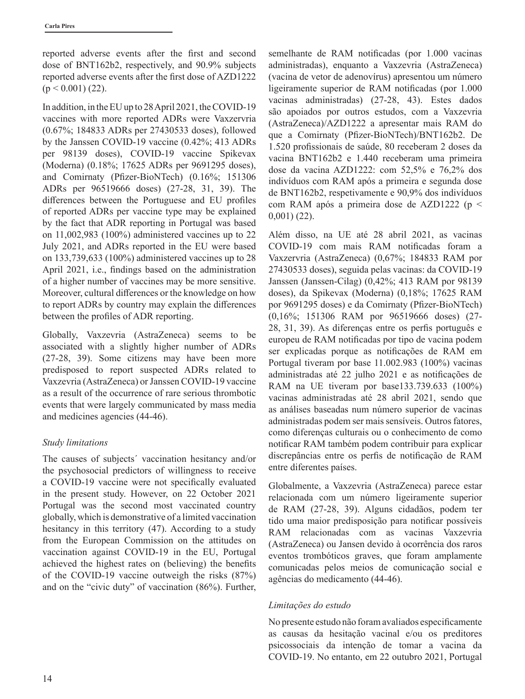reported adverse events after the first and second dose of BNT162b2, respectively, and 90.9% subjects reported adverse events after the first dose of AZD1222  $(p < 0.001)$  (22).

In addition, in the EU up to 28 April 2021, the COVID-19 vaccines with more reported ADRs were Vaxzervria (0.67%; 184833 ADRs per 27430533 doses), followed by the Janssen COVID-19 vaccine (0.42%; 413 ADRs per 98139 doses), COVID-19 vaccine Spikevax (Moderna) (0.18%; 17625 ADRs per 9691295 doses), and Comirnaty (Pfizer-BioNTech) (0.16%; 151306 ADRs per 96519666 doses) (27-28, 31, 39). The differences between the Portuguese and EU profiles of reported ADRs per vaccine type may be explained by the fact that ADR reporting in Portugal was based on 11,002,983 (100%) administered vaccines up to 22 July 2021, and ADRs reported in the EU were based on 133,739,633 (100%) administered vaccines up to 28 April 2021, i.e., findings based on the administration of a higher number of vaccines may be more sensitive. Moreover, cultural differences or the knowledge on how to report ADRs by country may explain the differences between the profiles of ADR reporting.

Globally, Vaxzevria (AstraZeneca) seems to be associated with a slightly higher number of ADRs (27-28, 39). Some citizens may have been more predisposed to report suspected ADRs related to Vaxzevria (AstraZeneca) or Janssen COVID-19 vaccine as a result of the occurrence of rare serious thrombotic events that were largely communicated by mass media and medicines agencies (44-46).

## *Study limitations*

The causes of subjects´ vaccination hesitancy and/or the psychosocial predictors of willingness to receive a COVID-19 vaccine were not specifically evaluated in the present study. However, on 22 October 2021 Portugal was the second most vaccinated country globally, which is demonstrative of a limited vaccination hesitancy in this territory (47). According to a study from the European Commission on the attitudes on vaccination against COVID-19 in the EU, Portugal achieved the highest rates on (believing) the benefits of the COVID-19 vaccine outweigh the risks (87%) and on the "civic duty" of vaccination (86%). Further, semelhante de RAM notificadas (por 1.000 vacinas administradas), enquanto a Vaxzevria (AstraZeneca) (vacina de vetor de adenovírus) apresentou um número ligeiramente superior de RAM notificadas (por 1.000 vacinas administradas) (27-28, 43). Estes dados são apoiados por outros estudos, com a Vaxzevria (AstraZeneca)/AZD1222 a apresentar mais RAM do que a Comirnaty (Pfizer-BioNTech)/BNT162b2. De 1.520 profissionais de saúde, 80 receberam 2 doses da vacina BNT162b2 e 1.440 receberam uma primeira dose da vacina AZD1222: com 52,5% e 76,2% dos indivíduos com RAM após a primeira e segunda dose de BNT162b2, respetivamente e 90,9% dos indivíduos com RAM após a primeira dose de AZD1222 (p < 0,001) (22).

Além disso, na UE até 28 abril 2021, as vacinas COVID-19 com mais RAM notificadas foram a Vaxzervria (AstraZeneca) (0,67%; 184833 RAM por 27430533 doses), seguida pelas vacinas: da COVID-19 Janssen (Janssen-Cilag) (0,42%; 413 RAM por 98139 doses), da Spikevax (Moderna) (0,18%; 17625 RAM por 9691295 doses) e da Comirnaty (Pfizer-BioNTech) (0,16%; 151306 RAM por 96519666 doses) (27- 28, 31, 39). As diferenças entre os perfis português e europeu de RAM notificadas por tipo de vacina podem ser explicadas porque as notificações de RAM em Portugal tiveram por base 11.002.983 (100%) vacinas administradas até 22 julho 2021 e as notificações de RAM na UE tiveram por base133.739.633 (100%) vacinas administradas até 28 abril 2021, sendo que as análises baseadas num número superior de vacinas administradas podem ser mais sensíveis. Outros fatores, como diferenças culturais ou o conhecimento de como notificar RAM também podem contribuir para explicar discrepâncias entre os perfis de notificação de RAM entre diferentes países.

Globalmente, a Vaxzevria (AstraZeneca) parece estar relacionada com um número ligeiramente superior de RAM (27-28, 39). Alguns cidadãos, podem ter tido uma maior predisposição para notificar possíveis RAM relacionadas com as vacinas Vaxzevria (AstraZeneca) ou Jansen devido à ocorrência dos raros eventos trombóticos graves, que foram amplamente comunicadas pelos meios de comunicação social e agências do medicamento (44-46).

## *Limitações do estudo*

No presente estudo não foram avaliados especificamente as causas da hesitação vacinal e/ou os preditores psicossociais da intenção de tomar a vacina da COVID-19. No entanto, em 22 outubro 2021, Portugal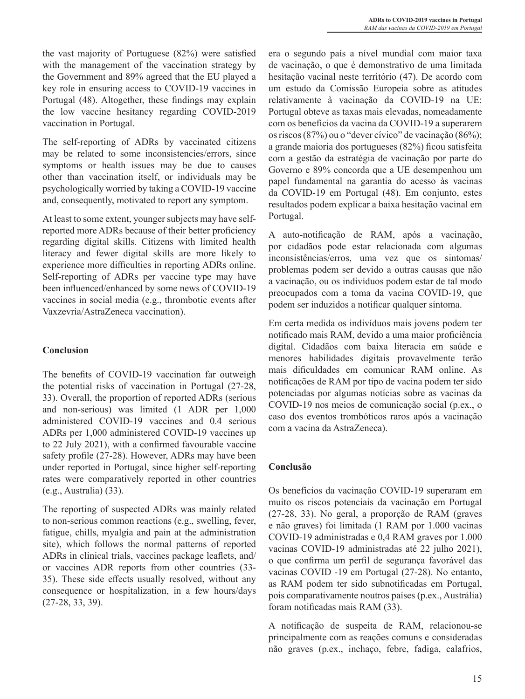the vast majority of Portuguese (82%) were satisfied with the management of the vaccination strategy by the Government and 89% agreed that the EU played a key role in ensuring access to COVID-19 vaccines in Portugal (48). Altogether, these findings may explain the low vaccine hesitancy regarding COVID-2019 vaccination in Portugal.

The self-reporting of ADRs by vaccinated citizens may be related to some inconsistencies/errors, since symptoms or health issues may be due to causes other than vaccination itself, or individuals may be psychologically worried by taking a COVID-19 vaccine and, consequently, motivated to report any symptom.

At least to some extent, younger subjects may have selfreported more ADRs because of their better proficiency regarding digital skills. Citizens with limited health literacy and fewer digital skills are more likely to experience more difficulties in reporting ADRs online. Self-reporting of ADRs per vaccine type may have been influenced/enhanced by some news of COVID-19 vaccines in social media (e.g., thrombotic events after Vaxzevria/AstraZeneca vaccination).

# **Conclusion**

The benefits of COVID-19 vaccination far outweigh the potential risks of vaccination in Portugal (27-28, 33). Overall, the proportion of reported ADRs (serious and non-serious) was limited (1 ADR per 1,000 administered COVID-19 vaccines and 0.4 serious ADRs per 1,000 administered COVID-19 vaccines up to 22 July 2021), with a confirmed favourable vaccine safety profile (27-28). However, ADRs may have been under reported in Portugal, since higher self-reporting rates were comparatively reported in other countries (e.g., Australia) (33).

The reporting of suspected ADRs was mainly related to non-serious common reactions (e.g., swelling, fever, fatigue, chills, myalgia and pain at the administration site), which follows the normal patterns of reported ADRs in clinical trials, vaccines package leaflets, and/ or vaccines ADR reports from other countries (33- 35). These side effects usually resolved, without any consequence or hospitalization, in a few hours/days (27-28, 33, 39).

era o segundo país a nível mundial com maior taxa de vacinação, o que é demonstrativo de uma limitada hesitação vacinal neste território (47). De acordo com um estudo da Comissão Europeia sobre as atitudes relativamente à vacinação da COVID-19 na UE: Portugal obteve as taxas mais elevadas, nomeadamente com os benefícios da vacina da COVID-19 a superarem os riscos (87%) ou o "dever cívico" de vacinação (86%); a grande maioria dos portugueses (82%) ficou satisfeita com a gestão da estratégia de vacinação por parte do Governo e 89% concorda que a UE desempenhou um papel fundamental na garantia do acesso às vacinas da COVID-19 em Portugal (48). Em conjunto, estes resultados podem explicar a baixa hesitação vacinal em Portugal.

A auto-notificação de RAM, após a vacinação, por cidadãos pode estar relacionada com algumas inconsistências/erros, uma vez que os sintomas/ problemas podem ser devido a outras causas que não a vacinação, ou os indivíduos podem estar de tal modo preocupados com a toma da vacina COVID-19, que podem ser induzidos a notificar qualquer sintoma.

Em certa medida os indivíduos mais jovens podem ter notificado mais RAM, devido a uma maior proficiência digital. Cidadãos com baixa literacia em saúde e menores habilidades digitais provavelmente terão mais dificuldades em comunicar RAM online. As notificações de RAM por tipo de vacina podem ter sido potenciadas por algumas notícias sobre as vacinas da COVID-19 nos meios de comunicação social (p.ex., o caso dos eventos trombóticos raros após a vacinação com a vacina da AstraZeneca).

## **Conclusão**

Os benefícios da vacinação COVID-19 superaram em muito os riscos potenciais da vacinação em Portugal (27-28, 33). No geral, a proporção de RAM (graves e não graves) foi limitada (1 RAM por 1.000 vacinas COVID-19 administradas e 0,4 RAM graves por 1.000 vacinas COVID-19 administradas até 22 julho 2021), o que confirma um perfil de segurança favorável das vacinas COVID -19 em Portugal (27-28). No entanto, as RAM podem ter sido subnotificadas em Portugal, pois comparativamente noutros países (p.ex., Austrália) foram notificadas mais RAM (33).

A notificação de suspeita de RAM, relacionou-se principalmente com as reações comuns e consideradas não graves (p.ex., inchaço, febre, fadiga, calafrios,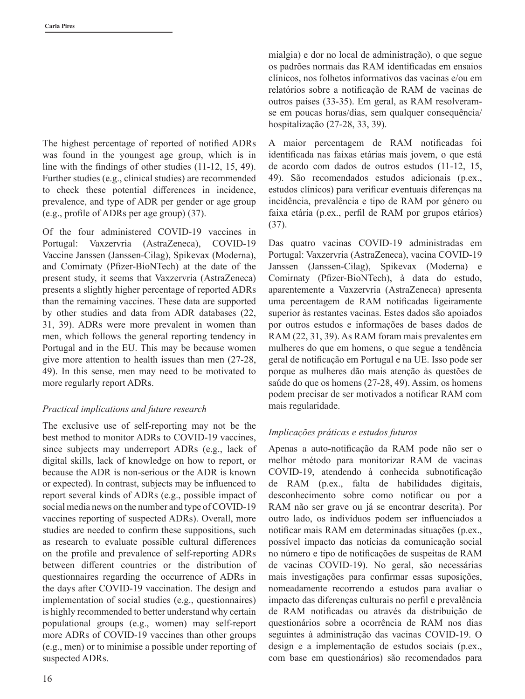The highest percentage of reported of notified ADRs was found in the youngest age group, which is in line with the findings of other studies (11-12, 15, 49). Further studies (e.g., clinical studies) are recommended to check these potential differences in incidence, prevalence, and type of ADR per gender or age group (e.g., profile of ADRs per age group) (37).

Of the four administered COVID-19 vaccines in Portugal: Vaxzervria (AstraZeneca), COVID-19 Vaccine Janssen (Janssen-Cilag), Spikevax (Moderna), and Comirnaty (Pfizer-BioNTech) at the date of the present study, it seems that Vaxzervria (AstraZeneca) presents a slightly higher percentage of reported ADRs than the remaining vaccines. These data are supported by other studies and data from ADR databases (22, 31, 39). ADRs were more prevalent in women than men, which follows the general reporting tendency in Portugal and in the EU. This may be because women give more attention to health issues than men (27-28, 49). In this sense, men may need to be motivated to more regularly report ADRs.

## *Practical implications and future research*

The exclusive use of self-reporting may not be the best method to monitor ADRs to COVID-19 vaccines, since subjects may underreport ADRs (e.g., lack of digital skills, lack of knowledge on how to report, or because the ADR is non-serious or the ADR is known or expected). In contrast, subjects may be influenced to report several kinds of ADRs (e.g., possible impact of social media news on the number and type of COVID-19 vaccines reporting of suspected ADRs). Overall, more studies are needed to confirm these suppositions, such as research to evaluate possible cultural differences on the profile and prevalence of self-reporting ADRs between different countries or the distribution of questionnaires regarding the occurrence of ADRs in the days after COVID-19 vaccination. The design and implementation of social studies (e.g., questionnaires) is highly recommended to better understand why certain populational groups (e.g., women) may self-report more ADRs of COVID-19 vaccines than other groups (e.g., men) or to minimise a possible under reporting of suspected ADRs.

mialgia) e dor no local de administração), o que segue os padrões normais das RAM identificadas em ensaios clínicos, nos folhetos informativos das vacinas e/ou em relatórios sobre a notificação de RAM de vacinas de outros países (33-35). Em geral, as RAM resolveramse em poucas horas/dias, sem qualquer consequência/ hospitalização (27-28, 33, 39).

A maior percentagem de RAM notificadas foi identificada nas faixas etárias mais jovem, o que está de acordo com dados de outros estudos (11-12, 15, 49). São recomendados estudos adicionais (p.ex., estudos clínicos) para verificar eventuais diferenças na incidência, prevalência e tipo de RAM por género ou faixa etária (p.ex., perfil de RAM por grupos etários) (37).

Das quatro vacinas COVID-19 administradas em Portugal: Vaxzervria (AstraZeneca), vacina COVID-19 Janssen (Janssen-Cilag), Spikevax (Moderna) e Comirnaty (Pfizer-BioNTech), à data do estudo, aparentemente a Vaxzervria (AstraZeneca) apresenta uma percentagem de RAM notificadas ligeiramente superior às restantes vacinas. Estes dados são apoiados por outros estudos e informações de bases dados de RAM (22, 31, 39). As RAM foram mais prevalentes em mulheres do que em homens, o que segue a tendência geral de notificação em Portugal e na UE. Isso pode ser porque as mulheres dão mais atenção às questões de saúde do que os homens (27-28, 49). Assim, os homens podem precisar de ser motivados a notificar RAM com mais regularidade.

# *Implicações práticas e estudos futuros*

Apenas a auto-notificação da RAM pode não ser o melhor método para monitorizar RAM de vacinas COVID-19, atendendo à conhecida subnotificação de RAM (p.ex., falta de habilidades digitais, desconhecimento sobre como notificar ou por a RAM não ser grave ou já se encontrar descrita). Por outro lado, os indivíduos podem ser influenciados a notificar mais RAM em determinadas situações (p.ex., possível impacto das notícias da comunicação social no número e tipo de notificações de suspeitas de RAM de vacinas COVID-19). No geral, são necessárias mais investigações para confirmar essas suposições, nomeadamente recorrendo a estudos para avaliar o impacto das diferenças culturais no perfil e prevalência de RAM notificadas ou através da distribuição de questionários sobre a ocorrência de RAM nos dias seguintes à administração das vacinas COVID-19. O design e a implementação de estudos sociais (p.ex., com base em questionários) são recomendados para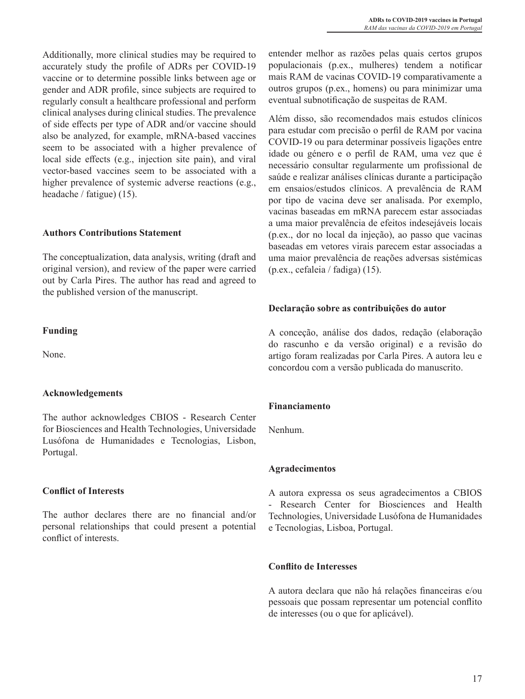Additionally, more clinical studies may be required to accurately study the profile of ADRs per COVID-19 vaccine or to determine possible links between age or gender and ADR profile, since subjects are required to regularly consult a healthcare professional and perform clinical analyses during clinical studies. The prevalence of side effects per type of ADR and/or vaccine should also be analyzed, for example, mRNA-based vaccines seem to be associated with a higher prevalence of local side effects (e.g., injection site pain), and viral vector-based vaccines seem to be associated with a higher prevalence of systemic adverse reactions (e.g., headache / fatigue) (15).

## **Authors Contributions Statement**

The conceptualization, data analysis, writing (draft and original version), and review of the paper were carried out by Carla Pires. The author has read and agreed to the published version of the manuscript.

## **Funding**

None.

# **Acknowledgements**

The author acknowledges CBIOS - Research Center for Biosciences and Health Technologies, Universidade Lusófona de Humanidades e Tecnologias, Lisbon, Portugal.

# **Conflict of Interests**

The author declares there are no financial and/or personal relationships that could present a potential conflict of interests.

entender melhor as razões pelas quais certos grupos populacionais (p.ex., mulheres) tendem a notificar mais RAM de vacinas COVID-19 comparativamente a outros grupos (p.ex., homens) ou para minimizar uma eventual subnotificação de suspeitas de RAM.

Além disso, são recomendados mais estudos clínicos para estudar com precisão o perfil de RAM por vacina COVID-19 ou para determinar possíveis ligações entre idade ou género e o perfil de RAM, uma vez que é necessário consultar regularmente um profissional de saúde e realizar análises clínicas durante a participação em ensaios/estudos clínicos. A prevalência de RAM por tipo de vacina deve ser analisada. Por exemplo, vacinas baseadas em mRNA parecem estar associadas a uma maior prevalência de efeitos indesejáveis locais (p.ex., dor no local da injeção), ao passo que vacinas baseadas em vetores virais parecem estar associadas a uma maior prevalência de reações adversas sistémicas (p.ex., cefaleia / fadiga) (15).

## **Declaração sobre as contribuições do autor**

A conceção, análise dos dados, redação (elaboração do rascunho e da versão original) e a revisão do artigo foram realizadas por Carla Pires. A autora leu e concordou com a versão publicada do manuscrito.

# **Financiamento**

Nenhum.

## **Agradecimentos**

A autora expressa os seus agradecimentos a CBIOS - Research Center for Biosciences and Health Technologies, Universidade Lusófona de Humanidades e Tecnologias, Lisboa, Portugal.

# **Conflito de Interesses**

A autora declara que não há relações financeiras e/ou pessoais que possam representar um potencial conflito de interesses (ou o que for aplicável).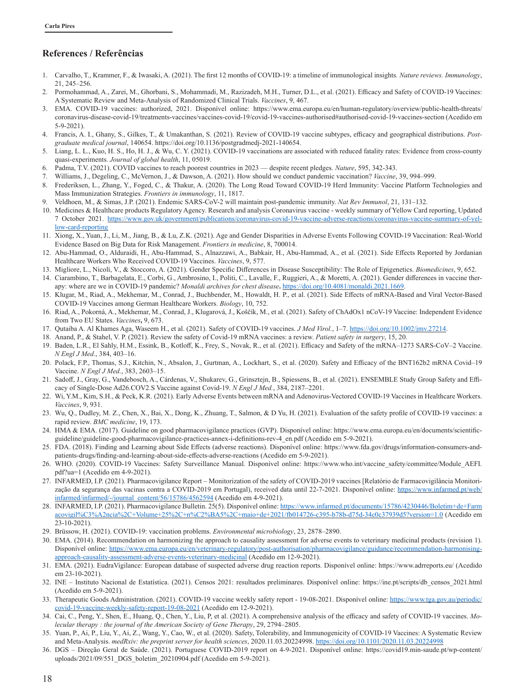## **References / Referências**

- 1. Carvalho, T., Krammer, F., & Iwasaki, A. (2021). The first 12 months of COVID-19: a timeline of immunological insights*. Nature reviews. Immunology*, 21, 245–256.
- 2. Pormohammad, A., Zarei, M., Ghorbani, S., Mohammadi, M., Razizadeh, M.H., Turner, D.L., et al. (2021). Efficacy and Safety of COVID-19 Vaccines: A Systematic Review and Meta-Analysis of Randomized Clinical Trials. *Vaccines*, 9, 467.
- 3. EMA. COVID-19 vaccines: authorized, 2021. Disponível online: https://www.ema.europa.eu/en/human-regulatory/overview/public-health-threats/ coronavirus-disease-covid-19/treatments-vaccines/vaccines-covid-19/covid-19-vaccines-authorised#authorised-covid-19-vaccines-section (Acedido em 5-9-2021).
- 4. Francis, A. I., Ghany, S., Gilkes, T., & Umakanthan, S. (2021). Review of COVID-19 vaccine subtypes, efficacy and geographical distributions. *Postgraduate medical journal*, 140654. https://doi.org/10.1136/postgradmedj-2021-140654.
- Liang, L. L., Kuo, H. S., Ho, H. J., & Wu, C. Y. (2021). COVID-19 vaccinations are associated with reduced fatality rates: Evidence from cross-county quasi-experiments. *Journal of global health*, 11, 05019.
- 6. Padma, T.V. (2021). COVID vaccines to reach poorest countries in 2023 despite recent pledges. *Nature*, 595, 342-343.
- 7. Williams, J., Degeling, C., McVernon, J., & Dawson, A. (2021). How should we conduct pandemic vaccination? *Vaccine*, 39, 994–999.
- 8. Frederiksen, L., Zhang, Y., Foged, C., & Thakur, A. (2020). The Long Road Toward COVID-19 Herd Immunity: Vaccine Platform Technologies and Mass Immunization Strategies. *Frontiers in immunology*, 11, 1817.
- 9. Veldhoen, M., & Simas, J.P. (2021). Endemic SARS-CoV-2 will maintain post-pandemic immunity. *Nat Rev Immunol*, 21, 131–132.
- 10. Medicines & Healthcare products Regulatory Agency. Research and analysis Coronavirus vaccine weekly summary of Yellow Card reporting, Updated 7 October 2021. https://www.gov.uk/government/publications/coronavirus-covid-19-vaccine-adverse-reactions/coronavirus-vaccine-summary-of-yellow-card-reporting
- 11. Xiong, X., Yuan, J., Li, M., Jiang, B., & Lu, Z.K. (2021). Age and Gender Disparities in Adverse Events Following COVID-19 Vaccination: Real-World Evidence Based on Big Data for Risk Management. *Frontiers in medicine*, 8, 700014.
- 12. Abu-Hammad, O., Alduraidi, H., Abu-Hammad, S., Alnazzawi, A., Babkair, H., Abu-Hammad, A., et al. (2021). Side Effects Reported by Jordanian Healthcare Workers Who Received COVID-19 Vaccines. *Vaccines*, 9, 577.
- 13. Migliore, L., Nicolì, V., & Stoccoro, A. (2021). Gender Specific Differences in Disease Susceptibility: The Role of Epigenetics. *Biomedicines*, 9, 652.
- 14. Ciarambino, T., Barbagelata, E., Corbi, G., Ambrosino, I., Politi, C., Lavalle, F., Ruggieri, A., & Moretti, A. (2021). Gender differences in vaccine therapy: where are we in COVID-19 pandemic? *Monaldi archives for chest disease***.** https://doi.org/10.4081/monaldi.2021.1669.
- 15. Klugar, M., Riad, A., Mekhemar, M., Conrad, J., Buchbender, M., Howaldt, H. P., et al. (2021). Side Effects of mRNA-Based and Viral Vector-Based COVID-19 Vaccines among German Healthcare Workers. *Biology*, 10, 752.
- 16. Riad, A., Pokorná, A., Mekhemar, M., Conrad, J., Klugarová, J., Koščík, M., et al. (2021). Safety of ChAdOx1 nCoV-19 Vaccine: Independent Evidence from Two EU States. *Vaccines***,** 9, 673.
- 17. Qutaiba A. Al Khames Aga, Waseem H., et al. (2021). Safety of COVID-19 vaccines. *J Med Virol.*, 1–7. https://doi.org/10.1002/jmv.27214.
- 18. Anand, P., & Stahel, V. P. (2021). Review the safety of Covid-19 mRNA vaccines: a review. *Patient safety in surgery*, 15, 20.
- 19. Baden, L.R., El Sahly, H.M., Essink, B., Kotloff, K., Frey, S., Novak, R., et al. (2021). Efficacy and Safety of the mRNA–1273 SARS-CoV–2 Vaccine. *N Engl J Med*., 384, 403–16.
- 20. Polack, F.P., Thomas, S.J., Kitchin, N., Absalon, J., Gurtman, A., Lockhart, S., et al. (2020). Safety and Efficacy of the BNT162b2 mRNA Covid–19 Vaccine. *N Engl J Med.*, 383, 2603–15.
- 21. Sadoff, J., Gray, G., Vandebosch, A., Cárdenas, V., Shukarev, G., Grinsztejn, B., Spiessens, B., et al. (2021). ENSEMBLE Study Group Safety and Efficacy of Single-Dose Ad26.COV2.S Vaccine against Covid-19. *N Engl J Med.*, 384, 2187–2201.
- 22. Wi, Y.M., Kim, S.H., & Peck, K.R. (2021). Early Adverse Events between mRNA and Adenovirus-Vectored COVID-19 Vaccines in Healthcare Workers. *Vaccines*, 9, 931.
- 23. Wu, Q., Dudley, M. Z., Chen, X., Bai, X., Dong, K., Zhuang, T., Salmon, & D Yu, H. (2021). Evaluation of the safety profile of COVID-19 vaccines: a rapid review. *BMC medicine*, 19, 173.
- 24. HMA & EMA. (2017). Guideline on good pharmacovigilance practices (GVP). Disponível online: https://www.ema.europa.eu/en/documents/scientificguideline/guideline-good-pharmacovigilance-practices-annex-i-definitions-rev-4\_en.pdf (Acedido em 5-9-2021).
- 25. FDA. (2018). Finding and Learning about Side Effects (adverse reactions). Disponível online: https://www.fda.gov/drugs/information-consumers-andpatients-drugs/finding-and-learning-about-side-effects-adverse-reactions (Acedido em 5-9-2021).
- 26. WHO. (2020). COVID-19 Vaccines: Safety Surveillance Manual. Disponível online: https://www.who.int/vaccine\_safety/committee/Module\_AEFI. pdf?ua=1 (Acedido em 4-9-2021).
- 27. INFARMED, I.P. (2021). Pharmacovigilance Report Monitorization of the safety of COVID-2019 vaccines [Relatório de Farmacovigilância Monitorização da segurança das vacinas contra a COVID-2019 em Portugal), received data until 22-7-2021. Disponível online: https://www.infarmed.pt/web/ infarmed/infarmed/-/journal\_content/56/15786/4562594 (Acedido em 4-9-2021).
- 28. INFARMED, I.P. (2021). Pharmacovigilance Bulletin. 25(5). Disponível online: https://www.infarmed.pt/documents/15786/4230446/Boletim+de+Farm acovigil%C3%A2ncia%2C+Volume+25%2C+n%C2%BA5%2C+maio+de+2021/fb014726-c395-b78b-d75d-34c0c37939d5?version=1.0 (Acedido em 23-10-2021).
- 29. Brüssow, H. (2021). COVID-19: vaccination problems. *Environmental microbiology*, 23, 2878–2890.
- 30. EMA. (2014). Recommendation on harmonizing the approach to causality assessment for adverse events to veterinary medicinal products (revision 1). Disponível online: https://www.ema.europa.eu/en/veterinary-regulatory/post-authorisation/pharmacovigilance/guidance/recommendation-harmonisingapproach-causality-assessment-adverse-events-veterinary-medicinal (Acedido em 12-9-2021).
- 31. EMA. (2021). EudraVigilance: European database of suspected adverse drug reaction reports. Disponível online: https://www.adrreports.eu/ (Acedido em 23-10-2021).
- 32. INE Instituto Nacional de Estatística. (2021). Censos 2021: resultados preliminares. Disponível online: https://ine.pt/scripts/db\_censos\_2021.html (Acedido em 5-9-2021).
- 33. Therapeutic Goods Administration. (2021). COVID-19 vaccine weekly safety report 19-08-2021. Disponível online: https://www.tga.gov.au/periodic/ covid-19-vaccine-weekly-safety-report-19-08-2021 (Acedido em 12-9-2021).
- 34. Cai, C., Peng, Y., Shen, E., Huang, Q., Chen, Y., Liu, P, et al. (2021). A comprehensive analysis of the efficacy and safety of COVID-19 vaccines. *Molecular therapy : the journal of the American Society of Gene Therapy*, 29, 2794–2805.
- 35. Yuan, P., Ai, P., Liu, Y., Ai, Z., Wang, Y., Cao, W., et al. (2020). Safety, Tolerability, and Immunogenicity of COVID-19 Vaccines: A Systematic Review and Meta-Analysis. *medRxiv: the preprint server for health sciences*, 2020.11.03.20224998. https://doi.org/10.1101/2020.11.03.20224998
- 36. DGS Direção Geral de Saúde. (2021). Portuguese COVID-2019 report on 4-9-2021. Disponível online: https://covid19.min-saude.pt/wp-content/ uploads/2021/09/551\_DGS\_boletim\_20210904.pdf (Acedido em 5-9-2021).